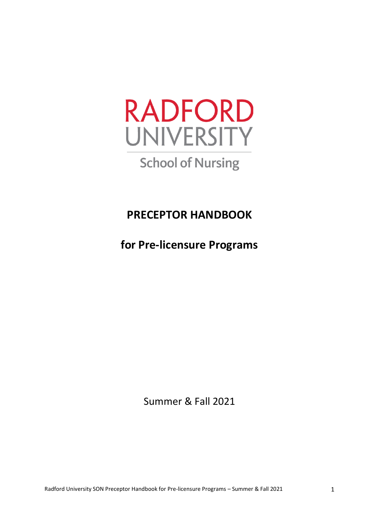

# **School of Nursing**

**PRECEPTOR HANDBOOK**

**for Pre-licensure Programs**

Summer & Fall 2021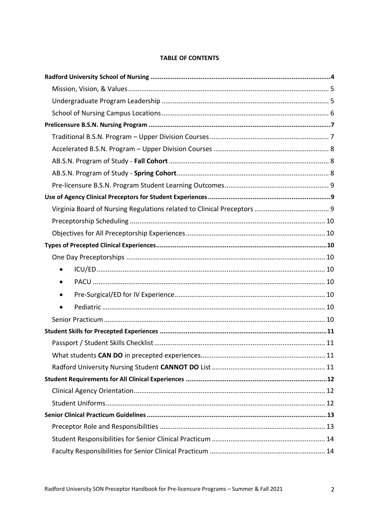#### **TABLE OF CONTENTS**

| $\bullet$ |  |
|-----------|--|
|           |  |
| $\bullet$ |  |
|           |  |
|           |  |
|           |  |
|           |  |
|           |  |
|           |  |
|           |  |
|           |  |
|           |  |
|           |  |
|           |  |
|           |  |
|           |  |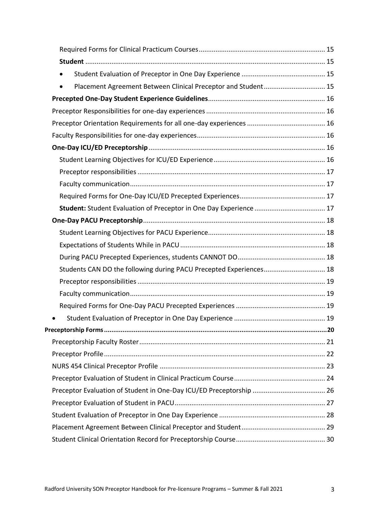| $\bullet$                                                                  |  |
|----------------------------------------------------------------------------|--|
| Placement Agreement Between Clinical Preceptor and Student 15<br>$\bullet$ |  |
|                                                                            |  |
|                                                                            |  |
|                                                                            |  |
|                                                                            |  |
|                                                                            |  |
|                                                                            |  |
|                                                                            |  |
|                                                                            |  |
|                                                                            |  |
|                                                                            |  |
|                                                                            |  |
|                                                                            |  |
|                                                                            |  |
|                                                                            |  |
| Students CAN DO the following during PACU Precepted Experiences 18         |  |
|                                                                            |  |
|                                                                            |  |
|                                                                            |  |
|                                                                            |  |
|                                                                            |  |
|                                                                            |  |
|                                                                            |  |
|                                                                            |  |
|                                                                            |  |
|                                                                            |  |
|                                                                            |  |
|                                                                            |  |
|                                                                            |  |
|                                                                            |  |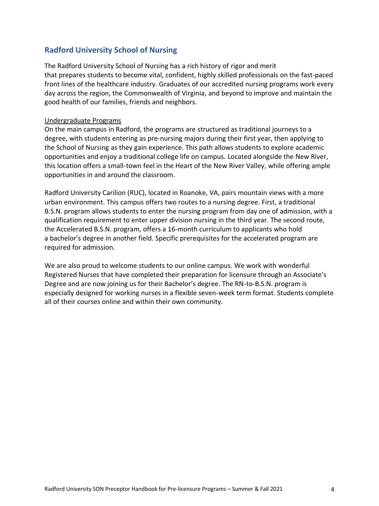<span id="page-3-0"></span>The Radford University School of Nursing has a rich history of rigor and merit that prepares students to become vital, confident, highly skilled professionals on the fast-paced front lines of the healthcare industry. Graduates of our accredited nursing programs work every day across the region, the Commonwealth of Virginia, and beyond to improve and maintain the good health of our families, friends and neighbors.

#### Undergraduate Programs

On the main campus in Radford, the programs are structured as traditional journeys to a degree, with students entering as pre-nursing majors during their first year, then applying to the School of Nursing as they gain experience. This path allows students to explore academic opportunities and enjoy a traditional college life on campus. Located alongside the New River, this location offers a small-town feel in the Heart of the New River Valley, while offering ample opportunities in and around the classroom.

Radford University Carilion (RUC), located in Roanoke, VA, pairs mountain views with a more urban environment. This campus offers two routes to a nursing degree. First, a traditional B.S.N. program allows students to enter the nursing program from day one of admission, with a qualification requirement to enter upper division nursing in the third year. The second route, the Accelerated B.S.N. program, offers a 16-month curriculum to applicants who hold a bachelor's degree in another field. Specific prerequisites for the accelerated program are required for admission.

We are also proud to welcome students to our online campus. We work with wonderful Registered Nurses that have completed their preparation for licensure through an Associate's Degree and are now joining us for their Bachelor's degree. The RN-to-B.S.N. program is especially designed for working nurses in a flexible seven-week term format. Students complete all of their courses online and within their own community.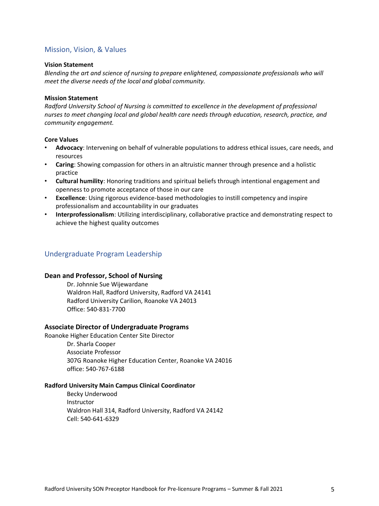#### <span id="page-4-0"></span>Mission, Vision, & Values

#### **Vision Statement**

*Blending the art and science of nursing to prepare enlightened, compassionate professionals who will meet the diverse needs of the local and global community.*

#### **Mission Statement**

*Radford University School of Nursing is committed to excellence in the development of professional nurses to meet changing local and global health care needs through education, research, practice, and community engagement.*

#### **Core Values**

- **Advocacy**: Intervening on behalf of vulnerable populations to address ethical issues, care needs, and resources
- **Caring**: Showing compassion for others in an altruistic manner through presence and a holistic practice
- **Cultural humility**: Honoring traditions and spiritual beliefs through intentional engagement and openness to promote acceptance of those in our care
- **Excellence**: Using rigorous evidence-based methodologies to instill competency and inspire professionalism and accountability in our graduates
- **Interprofessionalism**: Utilizing interdisciplinary, collaborative practice and demonstrating respect to achieve the highest quality outcomes

#### <span id="page-4-1"></span>Undergraduate Program Leadership

#### **Dean and Professor, School of Nursing**

Dr. Johnnie Sue Wijewardane Waldron Hall, Radford University, Radford VA 24141 Radford University Carilion, Roanoke VA 24013 Office: 540-831-7700

#### **Associate Director of Undergraduate Programs**

Roanoke Higher Education Center Site Director

Dr. Sharla Cooper Associate Professor 307G Roanoke Higher Education Center, Roanoke VA 24016 office: 540-767-6188

#### **Radford University Main Campus Clinical Coordinator**

Becky Underwood Instructor Waldron Hall 314, Radford University, Radford VA 24142 Cell: 540-641-6329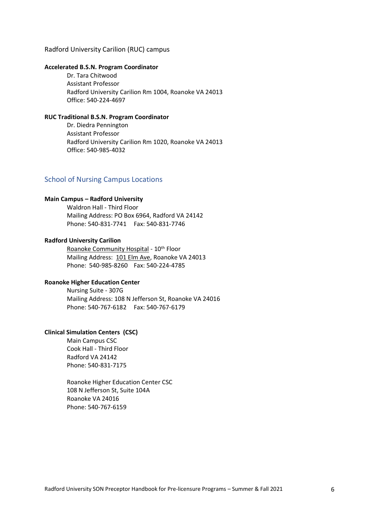#### Radford University Carilion (RUC) campus

#### **Accelerated B.S.N. Program Coordinator**

Dr. Tara Chitwood Assistant Professor Radford University Carilion Rm 1004, Roanoke VA 24013 Office: 540-224-4697

#### **RUC Traditional B.S.N. Program Coordinator**

Dr. Diedra Pennington Assistant Professor Radford University Carilion Rm 1020, Roanoke VA 24013 Office: 540-985-4032

#### <span id="page-5-0"></span>School of Nursing Campus Locations

#### **Main Campus – Radford University**

Waldron Hall - Third Floor Mailing Address: PO Box 6964, Radford VA 24142 Phone: 540-831-7741 Fax: 540-831-7746

#### **Radford University Carilion**

Roanoke Community Hospital - 10<sup>th</sup> Floor Mailing Address: 101 Elm Ave, Roanoke VA 24013 Phone: 540-985-8260 Fax: 540-224-4785

#### **Roanoke Higher Education Center**

Nursing Suite - 307G Mailing Address: 108 N Jefferson St, Roanoke VA 24016 Phone: 540-767-6182 Fax: 540-767-6179

#### **Clinical Simulation Centers (CSC)**

Main Campus CSC Cook Hall - Third Floor Radford VA 24142 Phone: 540-831-7175

Roanoke Higher Education Center CSC 108 N Jefferson St, Suite 104A Roanoke VA 24016 Phone: 540-767-6159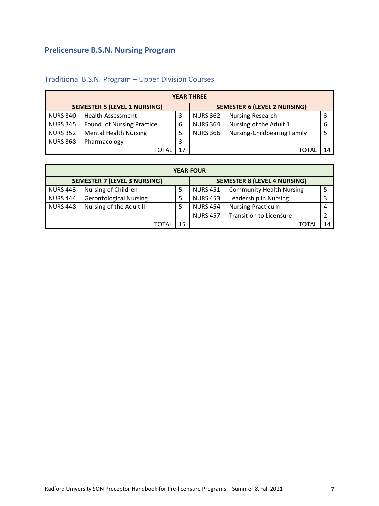# <span id="page-6-0"></span>**Prelicensure B.S.N. Nursing Program**

| <b>YEAR THREE</b> |                                     |   |                 |                                     |   |  |
|-------------------|-------------------------------------|---|-----------------|-------------------------------------|---|--|
|                   | <b>SEMESTER 5 (LEVEL 1 NURSING)</b> |   |                 | <b>SEMESTER 6 (LEVEL 2 NURSING)</b> |   |  |
| <b>NURS 340</b>   | <b>Health Assessment</b>            |   | <b>NURS 362</b> | <b>Nursing Research</b>             | 3 |  |
| <b>NURS 345</b>   | Found. of Nursing Practice          | 6 | <b>NURS 364</b> | Nursing of the Adult 1              | 6 |  |
| <b>NURS 352</b>   | <b>Mental Health Nursing</b>        |   | <b>NURS 366</b> | <b>Nursing-Childbearing Family</b>  |   |  |
| <b>NURS 368</b>   | Pharmacology                        | 3 |                 |                                     |   |  |
| 17<br>ΤΩΤΑΙ       |                                     |   |                 | 14                                  |   |  |

# <span id="page-6-1"></span>Traditional B.S.N. Program – Upper Division Courses

| <b>YEAR FOUR</b>                                                           |                               |    |                 |                                 |    |  |
|----------------------------------------------------------------------------|-------------------------------|----|-----------------|---------------------------------|----|--|
| <b>SEMESTER 7 (LEVEL 3 NURSING)</b><br><b>SEMESTER 8 (LEVEL 4 NURSING)</b> |                               |    |                 |                                 |    |  |
| <b>NURS 443</b>                                                            | Nursing of Children           |    | <b>NURS 451</b> | <b>Community Health Nursing</b> | 5  |  |
| <b>NURS 444</b>                                                            | <b>Gerontological Nursing</b> |    | <b>NURS 453</b> | Leadership in Nursing           | 3  |  |
| <b>NURS 448</b>                                                            | Nursing of the Adult II       |    | <b>NURS 454</b> | <b>Nursing Practicum</b>        | 4  |  |
|                                                                            |                               |    | <b>NURS 457</b> | <b>Transition to Licensure</b>  | 2  |  |
|                                                                            | TOTAL                         | 15 |                 | TOTAL                           | 14 |  |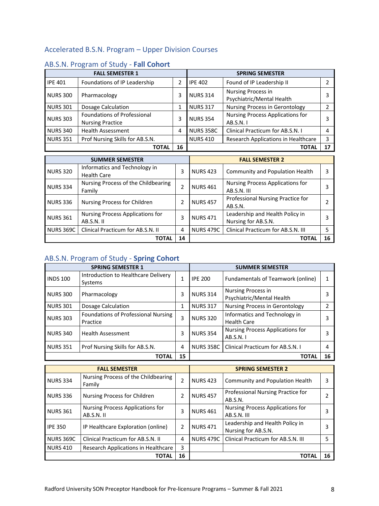# <span id="page-7-0"></span>Accelerated B.S.N. Program – Upper Division Courses

|                 | <b>FALL SEMESTER 1</b><br><b>SPRING SEMESTER</b>              |    |                  |                                                 |    |
|-----------------|---------------------------------------------------------------|----|------------------|-------------------------------------------------|----|
| <b>IPE 401</b>  | Foundations of IP Leadership                                  | 2  | <b>IPE 402</b>   | Found of IP Leadership II                       |    |
| <b>NURS 300</b> | Pharmacology                                                  | 3  | <b>NURS 314</b>  | Nursing Process in<br>Psychiatric/Mental Health |    |
| <b>NURS 301</b> | Dosage Calculation                                            |    | <b>NURS 317</b>  | <b>Nursing Process in Gerontology</b>           |    |
| <b>NURS 303</b> | <b>Foundations of Professional</b><br><b>Nursing Practice</b> | 3  | <b>NURS 354</b>  | Nursing Process Applications for<br>AB.S.N. I   |    |
| <b>NURS 340</b> | <b>Health Assessment</b>                                      | 4  | <b>NURS 358C</b> | Clinical Practicum for AB.S.N. I                | Δ  |
| <b>NURS 351</b> | Prof Nursing Skills for AB.S.N.                               |    | <b>NURS 410</b>  | Research Applications in Healthcare             |    |
|                 | ΤΟΤΑΙ                                                         | 16 |                  | ΤΟΤΑΙ                                           | 17 |

# <span id="page-7-1"></span>AB.S.N. Program of Study - **Fall Cohort**

| <b>SUMMER SEMESTER</b> |                                                     |               | <b>FALL SEMESTER 2</b> |                                                        |    |
|------------------------|-----------------------------------------------------|---------------|------------------------|--------------------------------------------------------|----|
| <b>NURS 320</b>        | Informatics and Technology in<br><b>Health Care</b> | 3             | <b>NURS 423</b>        | Community and Population Health                        |    |
| <b>NURS 334</b>        | Nursing Process of the Childbearing<br>Family       | $\mathfrak z$ | <b>NURS 461</b>        | Nursing Process Applications for<br>AB.S.N. III        |    |
| <b>NURS 336</b>        | Nursing Process for Children                        | $\mathcal{P}$ | <b>NURS 457</b>        | Professional Nursing Practice for<br>AB.S.N.           |    |
| <b>NURS 361</b>        | Nursing Process Applications for<br>AB.S.N. II      | 3             | <b>NURS 471</b>        | Leadership and Health Policy in<br>Nursing for AB.S.N. |    |
| <b>NURS 369C</b>       | Clinical Practicum for AB.S.N. II                   | 4             | <b>NURS 479C</b>       | Clinical Practicum for AB.S.N. III                     |    |
|                        | <b>TOTAL</b>                                        | 14            |                        | ΤΟΤΑΙ                                                  | 16 |

# <span id="page-7-2"></span>AB.S.N. Program of Study - **Spring Cohort**

|                 | <b>SPRING SEMESTER 1</b>                        |    | <b>SUMMER SEMESTER</b> |                                                     |    |
|-----------------|-------------------------------------------------|----|------------------------|-----------------------------------------------------|----|
| <b>INDS 100</b> | Introduction to Healthcare Delivery<br>Systems  |    | <b>IPE 200</b>         | Fundamentals of Teamwork (online)                   |    |
| <b>NURS 300</b> | Pharmacology                                    | 3  | <b>NURS 314</b>        | Nursing Process in<br>Psychiatric/Mental Health     |    |
| <b>NURS 301</b> | Dosage Calculation                              | 1  | <b>NURS 317</b>        | <b>Nursing Process in Gerontology</b>               |    |
| <b>NURS 303</b> | Foundations of Professional Nursing<br>Practice | 3  | <b>NURS 320</b>        | Informatics and Technology in<br><b>Health Care</b> |    |
| <b>NURS 340</b> | <b>Health Assessment</b>                        | 3  | <b>NURS 354</b>        | Nursing Process Applications for<br>AB.S.N. I       |    |
| <b>NURS 351</b> | Prof Nursing Skills for AB.S.N.                 | 4  | <b>NURS 358C</b>       | Clinical Practicum for AB.S.N. I                    |    |
|                 | ΤΟΤΑL                                           | 15 |                        | TOTAI                                               | 16 |

|                  | <b>FALL SEMESTER</b>                          |               | <b>SPRING SEMESTER 2</b> |                                                        |    |
|------------------|-----------------------------------------------|---------------|--------------------------|--------------------------------------------------------|----|
| <b>NURS 334</b>  | Nursing Process of the Childbearing<br>Family |               | <b>NURS 423</b>          | Community and Population Health                        |    |
| <b>NURS 336</b>  | Nursing Process for Children                  | $\mathcal{P}$ | <b>NURS 457</b>          | Professional Nursing Practice for<br>AB.S.N.           |    |
| <b>NURS 361</b>  | Nursing Process Applications for<br>AB.S.N.II | 3             | <b>NURS 461</b>          | Nursing Process Applications for<br>AB.S.N. III        |    |
| <b>IPE 350</b>   | IP Healthcare Exploration (online)            | $\mathfrak z$ | <b>NURS 471</b>          | Leadership and Health Policy in<br>Nursing for AB.S.N. |    |
| <b>NURS 369C</b> | Clinical Practicum for AB.S.N. II             | 4             | <b>NURS 479C</b>         | Clinical Practicum for AB.S.N. III                     |    |
| <b>NURS 410</b>  | Research Applications in Healthcare           | 3             |                          |                                                        |    |
|                  | TOTAL                                         | 16            |                          | ΤΟΤΑΙ                                                  | 16 |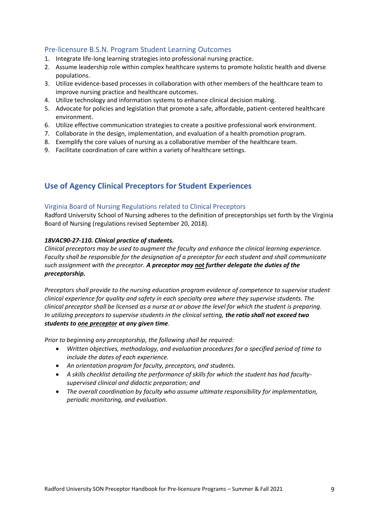# <span id="page-8-0"></span>Pre-licensure B.S.N. Program Student Learning Outcomes

- 1. Integrate life-long learning strategies into professional nursing practice.
- 2. Assume leadership role within complex healthcare systems to promote holistic health and diverse populations.
- 3. Utilize evidence-based processes in collaboration with other members of the healthcare team to improve nursing practice and healthcare outcomes.
- 4. Utilize technology and information systems to enhance clinical decision making.
- 5. Advocate for policies and legislation that promote a safe, affordable, patient-centered healthcare environment.
- 6. Utilize effective communication strategies to create a positive professional work environment.
- 7. Collaborate in the design, implementation, and evaluation of a health promotion program.
- 8. Exemplify the core values of nursing as a collaborative member of the healthcare team.
- 9. Facilitate coordination of care within a variety of healthcare settings.

# <span id="page-8-1"></span>**Use of Agency Clinical Preceptors for Student Experiences**

#### <span id="page-8-2"></span>Virginia Board of Nursing Regulations related to Clinical Preceptors

Radford University School of Nursing adheres to the definition of preceptorships set forth by the Virginia Board of Nursing (regulations revised September 20, 2018).

#### *18VAC90-27-110. Clinical practice of students.*

*Clinical preceptors may be used to augment the faculty and enhance the clinical learning experience. Faculty shall be responsible for the designation of a preceptor for each student and shall communicate such assignment with the preceptor. A preceptor may not further delegate the duties of the preceptorship.*

*Preceptors shall provide to the nursing education program evidence of competence to supervise student clinical experience for quality and safety in each specialty area where they supervise students. The clinical preceptor shall be licensed as a nurse at or above the level for which the student is preparing. In utilizing preceptors to supervise students in the clinical setting, the ratio shall not exceed two students to one preceptor at any given time.* 

*Prior to beginning any preceptorship, the following shall be required:* 

- *Written objectives, methodology, and evaluation procedures for a specified period of time to include the dates of each experience.*
- *An orientation program for faculty, preceptors, and students.*
- *A skills checklist detailing the performance of skills for which the student has had facultysupervised clinical and didactic preparation; and*
- *The overall coordination by faculty who assume ultimate responsibility for implementation, periodic monitoring, and evaluation.*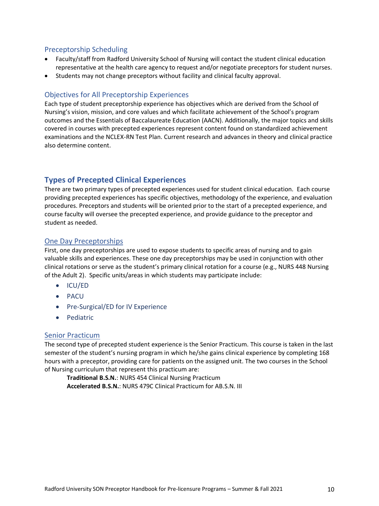# <span id="page-9-0"></span>Preceptorship Scheduling

- Faculty/staff from Radford University School of Nursing will contact the student clinical education representative at the health care agency to request and/or negotiate preceptors for student nurses.
- Students may not change preceptors without facility and clinical faculty approval.

#### <span id="page-9-1"></span>Objectives for All Preceptorship Experiences

Each type of student preceptorship experience has objectives which are derived from the School of Nursing's vision, mission, and core values and which facilitate achievement of the School's program outcomes and the Essentials of Baccalaureate Education (AACN). Additionally, the major topics and skills covered in courses with precepted experiences represent content found on standardized achievement examinations and the NCLEX-RN Test Plan. Current research and advances in theory and clinical practice also determine content.

## <span id="page-9-2"></span>**Types of Precepted Clinical Experiences**

There are two primary types of precepted experiences used for student clinical education. Each course providing precepted experiences has specific objectives, methodology of the experience, and evaluation procedures. Preceptors and students will be oriented prior to the start of a precepted experience, and course faculty will oversee the precepted experience, and provide guidance to the preceptor and student as needed.

#### <span id="page-9-3"></span>One Day Preceptorships

First, one day preceptorships are used to expose students to specific areas of nursing and to gain valuable skills and experiences. These one day preceptorships may be used in conjunction with other clinical rotations or serve as the student's primary clinical rotation for a course (e.g., NURS 448 Nursing of the Adult 2). Specific units/areas in which students may participate include:

- <span id="page-9-4"></span>• ICU/ED
- <span id="page-9-5"></span>• PACU
- <span id="page-9-6"></span>• Pre-Surgical/ED for IV Experience
- <span id="page-9-7"></span>• Pediatric

#### <span id="page-9-8"></span>Senior Practicum

The second type of precepted student experience is the Senior Practicum. This course is taken in the last semester of the student's nursing program in which he/she gains clinical experience by completing 168 hours with a preceptor, providing care for patients on the assigned unit. The two courses in the School of Nursing curriculum that represent this practicum are:

**Traditional B.S.N.**: NURS 454 Clinical Nursing Practicum **Accelerated B.S.N.**: NURS 479C Clinical Practicum for AB.S.N. III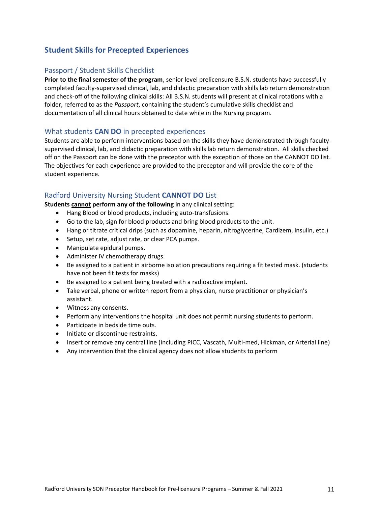# <span id="page-10-0"></span>**Student Skills for Precepted Experiences**

# <span id="page-10-1"></span>Passport / Student Skills Checklist

**Prior to the final semester of the program**, senior level prelicensure B.S.N. students have successfully completed faculty-supervised clinical, lab, and didactic preparation with skills lab return demonstration and check-off of the following clinical skills: All B.S.N. students will present at clinical rotations with a folder, referred to as the *Passport*, containing the student's cumulative skills checklist and documentation of all clinical hours obtained to date while in the Nursing program.

#### <span id="page-10-2"></span>What students **CAN DO** in precepted experiences

Students are able to perform interventions based on the skills they have demonstrated through facultysupervised clinical, lab, and didactic preparation with skills lab return demonstration. All skills checked off on the Passport can be done with the preceptor with the exception of those on the CANNOT DO list. The objectives for each experience are provided to the preceptor and will provide the core of the student experience.

#### <span id="page-10-3"></span>Radford University Nursing Student **CANNOT DO** List

**Students cannot perform any of the following** in any clinical setting:

- Hang Blood or blood products, including auto-transfusions.
- Go to the lab, sign for blood products and bring blood products to the unit.
- Hang or titrate critical drips (such as dopamine, heparin, nitroglycerine, Cardizem, insulin, etc.)
- Setup, set rate, adjust rate, or clear PCA pumps.
- Manipulate epidural pumps.
- Administer IV chemotherapy drugs.
- Be assigned to a patient in airborne isolation precautions requiring a fit tested mask. (students have not been fit tests for masks)
- Be assigned to a patient being treated with a radioactive implant.
- Take verbal, phone or written report from a physician, nurse practitioner or physician's assistant.
- Witness any consents.
- Perform any interventions the hospital unit does not permit nursing students to perform.
- Participate in bedside time outs.
- Initiate or discontinue restraints.
- Insert or remove any central line (including PICC, Vascath, Multi-med, Hickman, or Arterial line)
- Any intervention that the clinical agency does not allow students to perform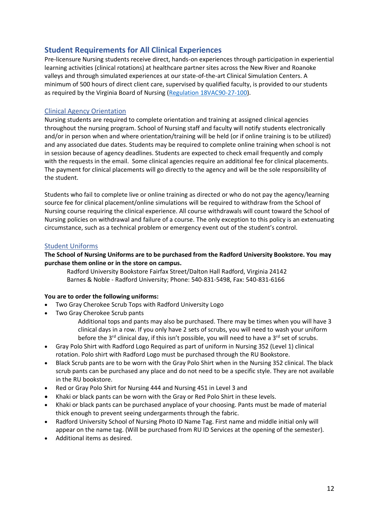# <span id="page-11-0"></span>**Student Requirements for All Clinical Experiences**

Pre-licensure Nursing students receive direct, hands-on experiences through participation in experiential learning activities (clinical rotations) at healthcare partner sites across the New River and Roanoke valleys and through simulated experiences at our state-of-the-art Clinical Simulation Centers. A minimum of 500 hours of direct client care, supervised by qualified faculty, is provided to our students as required by the Virginia Board of Nursing [\(Regulation 18VAC90-27-100\)](https://law.lis.virginia.gov/admincode/title18/agency90/chapter27/section100/).

#### <span id="page-11-1"></span>Clinical Agency Orientation

Nursing students are required to complete orientation and training at assigned clinical agencies throughout the nursing program. School of Nursing staff and faculty will notify students electronically and/or in person when and where orientation/training will be held (or if online training is to be utilized) and any associated due dates. Students may be required to complete online training when school is not in session because of agency deadlines. Students are expected to check email frequently and comply with the requests in the email. Some clinical agencies require an additional fee for clinical placements. The payment for clinical placements will go directly to the agency and will be the sole responsibility of the student.

Students who fail to complete live or online training as directed or who do not pay the agency/learning source fee for clinical placement/online simulations will be required to withdraw from the School of Nursing course requiring the clinical experience. All course withdrawals will count toward the School of Nursing policies on withdrawal and failure of a course. The only exception to this policy is an extenuating circumstance, such as a technical problem or emergency event out of the student's control.

#### <span id="page-11-2"></span>Student Uniforms

#### **The School of Nursing Uniforms are to be purchased from the Radford University Bookstore. You may purchase them online or in the store on campus.**

Radford University Bookstore Fairfax Street/Dalton Hall Radford, Virginia 24142 Barnes & Noble - Radford University; Phone: 540-831-5498, Fax: 540-831-6166

#### **You are to order the following uniforms:**

- Two Gray Cherokee Scrub Tops with Radford University Logo
- Two Gray Cherokee Scrub pants

Additional tops and pants may also be purchased. There may be times when you will have 3 clinical days in a row. If you only have 2 sets of scrubs, you will need to wash your uniform before the 3<sup>rd</sup> clinical day, if this isn't possible, you will need to have a 3<sup>rd</sup> set of scrubs.

- Gray Polo Shirt with Radford Logo Required as part of uniform in Nursing 352 (Level 1) clinical rotation. Polo shirt with Radford Logo must be purchased through the RU Bookstore.
- Black Scrub pants are to be worn with the Gray Polo Shirt when in the Nursing 352 clinical. The black scrub pants can be purchased any place and do not need to be a specific style. They are not available in the RU bookstore.
- Red or Gray Polo Shirt for Nursing 444 and Nursing 451 in Level 3 and
- Khaki or black pants can be worn with the Gray or Red Polo Shirt in these levels.
- Khaki or black pants can be purchased anyplace of your choosing. Pants must be made of material thick enough to prevent seeing undergarments through the fabric.
- Radford University School of Nursing Photo ID Name Tag. First name and middle initial only will appear on the name tag. (Will be purchased from RU ID Services at the opening of the semester).
- Additional items as desired.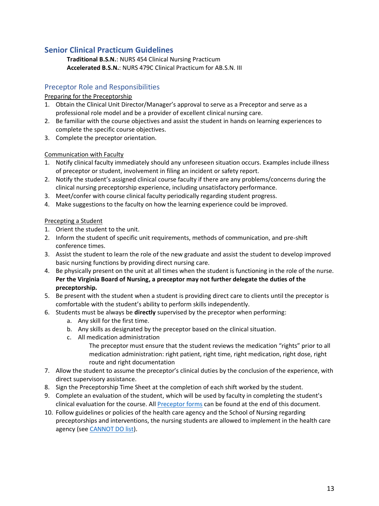# <span id="page-12-0"></span>**Senior Clinical Practicum Guidelines**

**Traditional B.S.N.**: NURS 454 Clinical Nursing Practicum **Accelerated B.S.N.**: NURS 479C Clinical Practicum for AB.S.N. III

# <span id="page-12-1"></span>Preceptor Role and Responsibilities

#### Preparing for the Preceptorship

- 1. Obtain the Clinical Unit Director/Manager's approval to serve as a Preceptor and serve as a professional role model and be a provider of excellent clinical nursing care.
- 2. Be familiar with the course objectives and assist the student in hands on learning experiences to complete the specific course objectives.
- 3. Complete the preceptor orientation.

#### Communication with Faculty

- 1. Notify clinical faculty immediately should any unforeseen situation occurs. Examples include illness of preceptor or student, involvement in filing an incident or safety report.
- 2. Notify the student's assigned clinical course faculty if there are any problems/concerns during the clinical nursing preceptorship experience, including unsatisfactory performance.
- 3. Meet/confer with course clinical faculty periodically regarding student progress.
- 4. Make suggestions to the faculty on how the learning experience could be improved.

#### Precepting a Student

- 1. Orient the student to the unit.
- 2. Inform the student of specific unit requirements, methods of communication, and pre-shift conference times.
- 3. Assist the student to learn the role of the new graduate and assist the student to develop improved basic nursing functions by providing direct nursing care.
- 4. Be physically present on the unit at all times when the student is functioning in the role of the nurse. **Per the Virginia Board of Nursing, a preceptor may not further delegate the duties of the preceptorship.**
- 5. Be present with the student when a student is providing direct care to clients until the preceptor is comfortable with the student's ability to perform skills independently.
- 6. Students must be always be **directly** supervised by the preceptor when performing:
	- a. Any skill for the first time.
	- b. Any skills as designated by the preceptor based on the clinical situation.
	- c. All medication administration
		- The preceptor must ensure that the student reviews the medication "rights" prior to all medication administration: right patient, right time, right medication, right dose, right route and right documentation
- 7. Allow the student to assume the preceptor's clinical duties by the conclusion of the experience, with direct supervisory assistance.
- 8. Sign the Preceptorship Time Sheet at the completion of each shift worked by the student.
- 9. Complete an evaluation of the student, which will be used by faculty in completing the student's clinical evaluation for the course. All [Preceptor forms](#page-19-0) can be found at the end of this document.
- 10. Follow guidelines or policies of the health care agency and the School of Nursing regarding preceptorships and interventions, the nursing students are allowed to implement in the health care agency (see CANNOT DO list).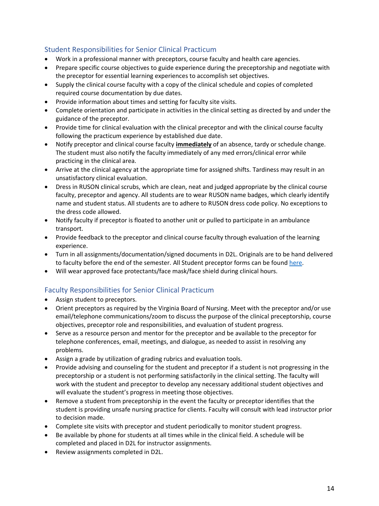# <span id="page-13-0"></span>Student Responsibilities for Senior Clinical Practicum

- Work in a professional manner with preceptors, course faculty and health care agencies.
- Prepare specific course objectives to guide experience during the preceptorship and negotiate with the preceptor for essential learning experiences to accomplish set objectives.
- Supply the clinical course faculty with a copy of the clinical schedule and copies of completed required course documentation by due dates.
- Provide information about times and setting for faculty site visits.
- Complete orientation and participate in activities in the clinical setting as directed by and under the guidance of the preceptor.
- Provide time for clinical evaluation with the clinical preceptor and with the clinical course faculty following the practicum experience by established due date.
- Notify preceptor and clinical course faculty **immediately** of an absence, tardy or schedule change. The student must also notify the faculty immediately of any med errors/clinical error while practicing in the clinical area.
- Arrive at the clinical agency at the appropriate time for assigned shifts. Tardiness may result in an unsatisfactory clinical evaluation.
- Dress in RUSON clinical scrubs, which are clean, neat and judged appropriate by the clinical course faculty, preceptor and agency. All students are to wear RUSON name badges, which clearly identify name and student status. All students are to adhere to RUSON dress code policy. No exceptions to the dress code allowed.
- Notify faculty if preceptor is floated to another unit or pulled to participate in an ambulance transport.
- Provide feedback to the preceptor and clinical course faculty through evaluation of the learning experience.
- Turn in all assignments/documentation/signed documents in D2L. Originals are to be hand delivered to faculty before the end of the semester. All Student preceptor forms can be found [here.](#page-19-0)
- Will wear approved face protectants/face mask/face shield during clinical hours.

# <span id="page-13-1"></span>Faculty Responsibilities for Senior Clinical Practicum

- Assign student to preceptors.
- Orient preceptors as required by the Virginia Board of Nursing. Meet with the preceptor and/or use email/telephone communications/zoom to discuss the purpose of the clinical preceptorship, course objectives, preceptor role and responsibilities, and evaluation of student progress.
- Serve as a resource person and mentor for the preceptor and be available to the preceptor for telephone conferences, email, meetings, and dialogue, as needed to assist in resolving any problems.
- Assign a grade by utilization of grading rubrics and evaluation tools.
- Provide advising and counseling for the student and preceptor if a student is not progressing in the preceptorship or a student is not performing satisfactorily in the clinical setting. The faculty will work with the student and preceptor to develop any necessary additional student objectives and will evaluate the student's progress in meeting those objectives.
- Remove a student from preceptorship in the event the faculty or preceptor identifies that the student is providing unsafe nursing practice for clients. Faculty will consult with lead instructor prior to decision made.
- Complete site visits with preceptor and student periodically to monitor student progress.
- Be available by phone for students at all times while in the clinical field. A schedule will be completed and placed in D2L for instructor assignments.
- Review assignments completed in D2L.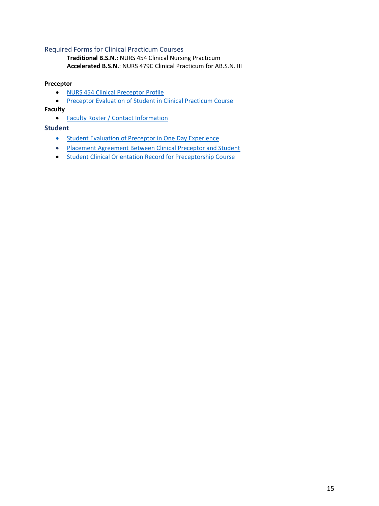#### <span id="page-14-0"></span>Required Forms for Clinical Practicum Courses

**Traditional B.S.N.**: NURS 454 Clinical Nursing Practicum **Accelerated B.S.N.**: NURS 479C Clinical Practicum for AB.S.N. III

#### **Preceptor**

- [NURS 454 Clinical Preceptor Profile](#page-22-0)
- [Preceptor Evaluation of Student in Clinical Practicum Course](#page-23-0)

#### **Faculty**

• [Faculty Roster / Contact Information](#page-20-0)

#### <span id="page-14-1"></span>**Student**

- <span id="page-14-2"></span>• [Student Evaluation of Preceptor in One Day Experience](#page-16-4)
- <span id="page-14-5"></span><span id="page-14-3"></span>• [Placement Agreement Between Clinical Preceptor and Student](#page-14-5)
- <span id="page-14-4"></span>• [Student Clinical Orientation Record for Preceptorship Course](#page-29-0)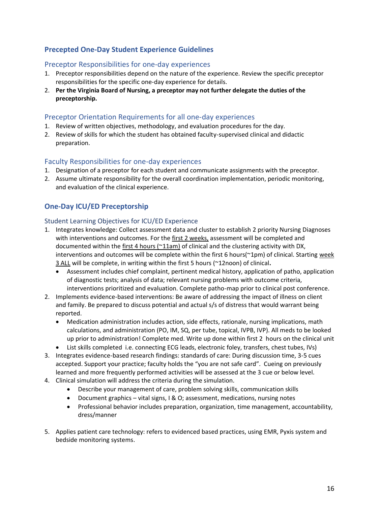# **Precepted One-Day Student Experience Guidelines**

#### <span id="page-15-0"></span>Preceptor Responsibilities for one-day experiences

- 1. Preceptor responsibilities depend on the nature of the experience. Review the specific preceptor responsibilities for the specific one-day experience for details.
- 2. **Per the Virginia Board of Nursing, a preceptor may not further delegate the duties of the preceptorship.**

#### <span id="page-15-1"></span>Preceptor Orientation Requirements for all one-day experiences

- 1. Review of written objectives, methodology, and evaluation procedures for the day.
- 2. Review of skills for which the student has obtained faculty-supervised clinical and didactic preparation.

#### <span id="page-15-2"></span>Faculty Responsibilities for one-day experiences

- 1. Designation of a preceptor for each student and communicate assignments with the preceptor.
- 2. Assume ultimate responsibility for the overall coordination implementation, periodic monitoring, and evaluation of the clinical experience.

# <span id="page-15-3"></span>**One-Day ICU/ED Preceptorship**

#### <span id="page-15-4"></span>Student Learning Objectives for ICU/ED Experience

- 1. Integrates knowledge: Collect assessment data and cluster to establish 2 priority Nursing Diagnoses with interventions and outcomes. For the first 2 weeks, assessment will be completed and documented within the first 4 hours (~11am) of clinical and the clustering activity with DX, interventions and outcomes will be complete within the first 6 hours(~1pm) of clinical. Starting week 3 ALL will be complete, in writing within the first 5 hours (~12noon) of clinical**.**
	- Assessment includes chief complaint, pertinent medical history, application of patho, application of diagnostic tests; analysis of data; relevant nursing problems with outcome criteria, interventions prioritized and evaluation. Complete patho-map prior to clinical post conference.
- 2. Implements evidence-based interventions: Be aware of addressing the impact of illness on client and family. Be prepared to discuss potential and actual s/s of distress that would warrant being reported.
	- Medication administration includes action, side effects, rationale, nursing implications, math calculations, and administration (PO, IM, SQ, per tube, topical, IVPB, IVP). All meds to be looked up prior to administration! Complete med. Write up done within first 2 hours on the clinical unit
		- List skills completed i.e. connecting ECG leads, electronic foley, transfers, chest tubes, IVs)
- 3. Integrates evidence-based research findings: standards of care: During discussion time, 3-5 cues accepted. Support your practice; faculty holds the "you are not safe card". Cueing on previously learned and more frequently performed activities will be assessed at the 3 cue or below level.
- 4. Clinical simulation will address the criteria during the simulation.
	- Describe your management of care, problem solving skills, communication skills
	- Document graphics vital signs, I & O; assessment, medications, nursing notes
	- Professional behavior includes preparation, organization, time management, accountability, dress/manner
- 5. Applies patient care technology: refers to evidenced based practices, using EMR, Pyxis system and bedside monitoring systems.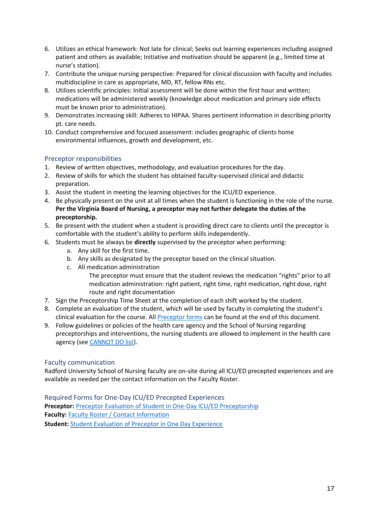- 6. Utilizes an ethical framework: Not late for clinical; Seeks out learning experiences including assigned patient and others as available; Initiative and motivation should be apparent (e.g., limited time at nurse's station).
- 7. Contribute the unique nursing perspective: Prepared for clinical discussion with faculty and includes multidiscipline in care as appropriate, MD, RT, fellow RNs etc.
- 8. Utilizes scientific principles: Initial assessment will be done within the first hour and written; medications will be administered weekly (knowledge about medication and primary side effects must be known prior to administration).
- 9. Demonstrates increasing skill: Adheres to HIPAA. Shares pertinent information in describing priority pt. care needs.
- 10. Conduct comprehensive and focused assessment: includes geographic of clients home environmental influences, growth and development, etc.

#### <span id="page-16-0"></span>Preceptor responsibilities

- 1. Review of written objectives, methodology, and evaluation procedures for the day.
- 2. Review of skills for which the student has obtained faculty-supervised clinical and didactic preparation.
- 3. Assist the student in meeting the learning objectives for the ICU/ED experience.
- 4. Be physically present on the unit at all times when the student is functioning in the role of the nurse. **Per the Virginia Board of Nursing, a preceptor may not further delegate the duties of the preceptorship.**
- 5. Be present with the student when a student is providing direct care to clients until the preceptor is comfortable with the student's ability to perform skills independently.
- 6. Students must be always be **directly** supervised by the preceptor when performing:
	- a. Any skill for the first time.
	- b. Any skills as designated by the preceptor based on the clinical situation.
	- c. All medication administration
		- The preceptor must ensure that the student reviews the medication "rights" prior to all medication administration: right patient, right time, right medication, right dose, right route and right documentation
- 7. Sign the Preceptorship Time Sheet at the completion of each shift worked by the student.
- 8. Complete an evaluation of the student, which will be used by faculty in completing the student's clinical evaluation for the course. All **Preceptor forms** can be found at the end of this document.
- 9. Follow guidelines or policies of the health care agency and the School of Nursing regarding preceptorships and interventions, the nursing students are allowed to implement in the health care agency (see CANNOT DO list).

#### <span id="page-16-1"></span>Faculty communication

Radford University School of Nursing faculty are on-site during all ICU/ED precepted experiences and are available as needed per the contact information on the Faculty Roster.

<span id="page-16-4"></span><span id="page-16-3"></span><span id="page-16-2"></span>Required Forms for One-Day ICU/ED Precepted Experiences **Preceptor:** [Preceptor Evaluation of Student in One-Day ICU/ED Preceptorship](#page-25-0) **Faculty:** [Faculty Roster / Contact Information](#page-20-0) **Student:** [Student Evaluation of Preceptor in One Day Experience](#page-16-4)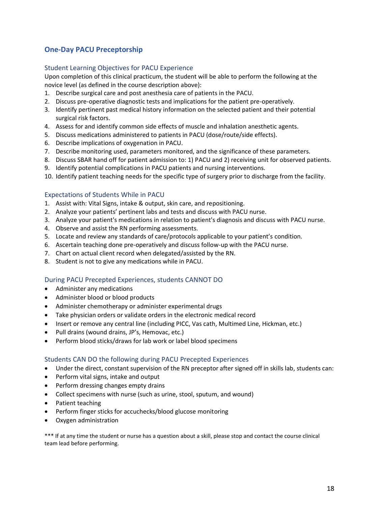# <span id="page-17-0"></span>**One-Day PACU Preceptorship**

#### <span id="page-17-1"></span>Student Learning Objectives for PACU Experience

Upon completion of this clinical practicum, the student will be able to perform the following at the novice level (as defined in the course description above):

- 1. Describe surgical care and post anesthesia care of patients in the PACU.
- 2. Discuss pre-operative diagnostic tests and implications for the patient pre-operatively.
- 3. Identify pertinent past medical history information on the selected patient and their potential surgical risk factors.
- 4. Assess for and identify common side effects of muscle and inhalation anesthetic agents.
- 5. Discuss medications administered to patients in PACU (dose/route/side effects).
- 6. Describe implications of oxygenation in PACU.
- 7. Describe monitoring used, parameters monitored, and the significance of these parameters.
- 8. Discuss SBAR hand off for patient admission to: 1) PACU and 2) receiving unit for observed patients.
- 9. Identify potential complications in PACU patients and nursing interventions.
- 10. Identify patient teaching needs for the specific type of surgery prior to discharge from the facility.

#### <span id="page-17-2"></span>Expectations of Students While in PACU

- 1. Assist with: Vital Signs, intake & output, skin care, and repositioning.
- 2. Analyze your patients' pertinent labs and tests and discuss with PACU nurse.
- 3. Analyze your patient's medications in relation to patient's diagnosis and discuss with PACU nurse.
- 4. Observe and assist the RN performing assessments.
- 5. Locate and review any standards of care/protocols applicable to your patient's condition.
- 6. Ascertain teaching done pre-operatively and discuss follow-up with the PACU nurse.
- 7. Chart on actual client record when delegated/assisted by the RN.
- 8. Student is not to give any medications while in PACU.

#### <span id="page-17-3"></span>During PACU Precepted Experiences, students CANNOT DO

- Administer any medications
- Administer blood or blood products
- Administer chemotherapy or administer experimental drugs
- Take physician orders or validate orders in the electronic medical record
- Insert or remove any central line (including PICC, Vas cath, Multimed Line, Hickman, etc.)
- Pull drains (wound drains, JP's, Hemovac, etc.)
- Perform blood sticks/draws for lab work or label blood specimens

#### <span id="page-17-4"></span>Students CAN DO the following during PACU Precepted Experiences

- Under the direct, constant supervision of the RN preceptor after signed off in skills lab, students can:
- Perform vital signs, intake and output
- Perform dressing changes empty drains
- Collect specimens with nurse (such as urine, stool, sputum, and wound)
- Patient teaching
- Perform finger sticks for accuchecks/blood glucose monitoring
- Oxygen administration

\*\*\* If at any time the student or nurse has a question about a skill, please stop and contact the course clinical team lead before performing.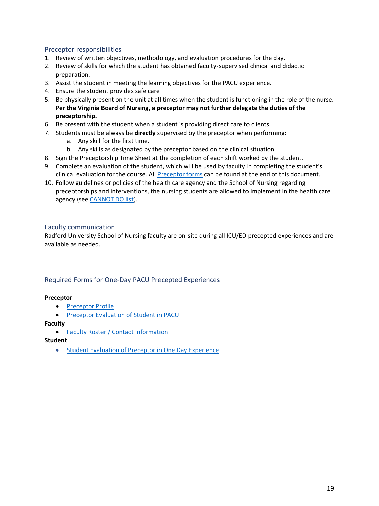#### <span id="page-18-0"></span>Preceptor responsibilities

- 1. Review of written objectives, methodology, and evaluation procedures for the day.
- 2. Review of skills for which the student has obtained faculty-supervised clinical and didactic preparation.
- 3. Assist the student in meeting the learning objectives for the PACU experience.
- 4. Ensure the student provides safe care
- 5. Be physically present on the unit at all times when the student is functioning in the role of the nurse. **Per the Virginia Board of Nursing, a preceptor may not further delegate the duties of the preceptorship.**
- 6. Be present with the student when a student is providing direct care to clients.
- 7. Students must be always be **directly** supervised by the preceptor when performing:
	- a. Any skill for the first time.
	- b. Any skills as designated by the preceptor based on the clinical situation.
- 8. Sign the Preceptorship Time Sheet at the completion of each shift worked by the student.
- 9. Complete an evaluation of the student, which will be used by faculty in completing the student's clinical evaluation for the course. All [Preceptor forms](#page-19-0) can be found at the end of this document.
- 10. Follow guidelines or policies of the health care agency and the School of Nursing regarding preceptorships and interventions, the nursing students are allowed to implement in the health care agency (see CANNOT DO list).

#### <span id="page-18-1"></span>Faculty communication

Radford University School of Nursing faculty are on-site during all ICU/ED precepted experiences and are available as needed.

#### <span id="page-18-2"></span>Required Forms for One-Day PACU Precepted Experiences

#### **Preceptor**

- [Preceptor Profile](#page-21-0)
- [Preceptor Evaluation of Student in PACU](#page-26-0)

#### **Faculty**

• [Faculty Roster / Contact Information](#page-20-0)

<span id="page-18-4"></span>**Student**

<span id="page-18-3"></span>• [Student Evaluation of Preceptor in One Day Experience](#page-18-4)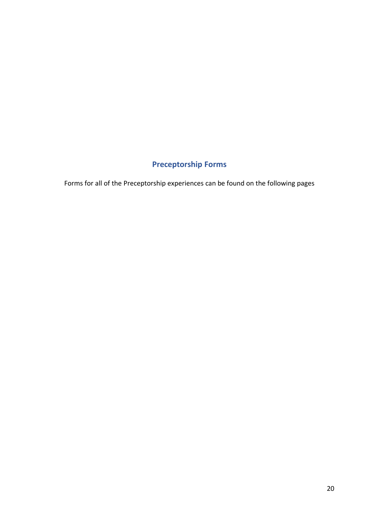# **Preceptorship Forms**

<span id="page-19-0"></span>Forms for all of the Preceptorship experiences can be found on the following pages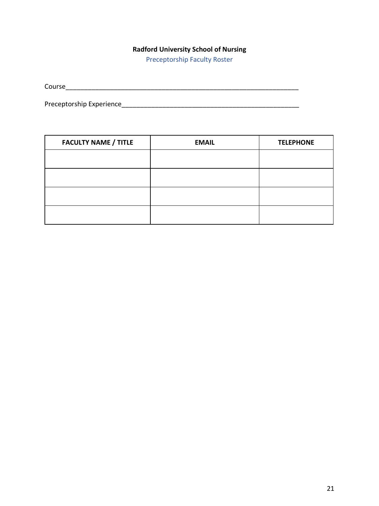Preceptorship Faculty Roster

<span id="page-20-0"></span>

| ∽<br>Course<br>_______________ |  |  |
|--------------------------------|--|--|
|                                |  |  |

Preceptorship Experience\_\_\_\_\_\_\_\_\_\_\_\_\_\_\_\_\_\_\_\_\_\_\_\_\_\_\_\_\_\_\_\_\_\_\_\_\_\_\_\_\_\_\_\_\_\_\_\_

| <b>FACULTY NAME / TITLE</b> | <b>EMAIL</b> | <b>TELEPHONE</b> |
|-----------------------------|--------------|------------------|
|                             |              |                  |
|                             |              |                  |
|                             |              |                  |
|                             |              |                  |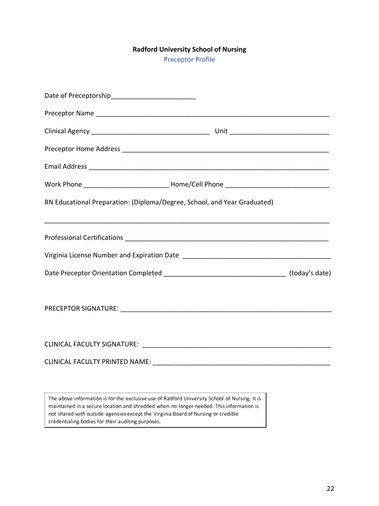Preceptor Profile

<span id="page-21-0"></span>

| Date of Preceptorship_____________________________                                                                                                                                                                            |  |
|-------------------------------------------------------------------------------------------------------------------------------------------------------------------------------------------------------------------------------|--|
|                                                                                                                                                                                                                               |  |
|                                                                                                                                                                                                                               |  |
|                                                                                                                                                                                                                               |  |
|                                                                                                                                                                                                                               |  |
|                                                                                                                                                                                                                               |  |
| RN Educational Preparation: (Diploma/Degree, School, and Year Graduated)                                                                                                                                                      |  |
|                                                                                                                                                                                                                               |  |
|                                                                                                                                                                                                                               |  |
|                                                                                                                                                                                                                               |  |
|                                                                                                                                                                                                                               |  |
| CLINICAL FACULTY SIGNATURE: WAS ARRESTED FOR A STATE OF THE STATE OF THE STATE OF THE STATE OF THE STATE OF THE STATE OF THE STATE OF THE STATE OF THE STATE OF THE STATE OF THE STATE OF THE STATE OF THE STATE OF THE STATE |  |
|                                                                                                                                                                                                                               |  |
|                                                                                                                                                                                                                               |  |

The above information is for the exclusive use of Radford University School of Nursing. It is maintained in a secure location and shredded when no longer needed. This information is not shared with outside agencies except the Virginia Board of Nursing or credible credentialing bodies for their auditing purposes.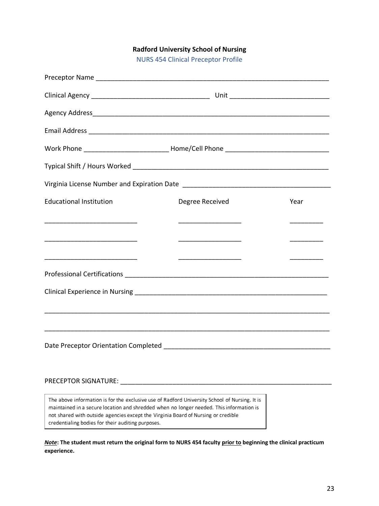NURS 454 Clinical Preceptor Profile

<span id="page-22-0"></span>

| <b>Educational Institution</b> | Degree Received | Year |  |  |  |  |  |  |
|--------------------------------|-----------------|------|--|--|--|--|--|--|
|                                |                 |      |  |  |  |  |  |  |
|                                |                 |      |  |  |  |  |  |  |
|                                |                 |      |  |  |  |  |  |  |
|                                |                 |      |  |  |  |  |  |  |
|                                |                 |      |  |  |  |  |  |  |
|                                |                 |      |  |  |  |  |  |  |
|                                |                 |      |  |  |  |  |  |  |
|                                |                 |      |  |  |  |  |  |  |

#### PRECEPTOR SIGNATURE: \_\_\_\_\_\_\_\_\_\_\_\_\_\_\_\_\_\_\_\_\_\_\_\_\_\_\_\_\_\_\_\_\_\_\_\_\_\_\_\_\_\_\_\_\_\_\_\_\_\_\_\_\_\_\_\_\_

The above information is for the exclusive use of Radford University School of Nursing. It is maintained in a secure location and shredded when no longer needed. This information is not shared with outside agencies except the Virginia Board of Nursing or credible credentialing bodies for their auditing purposes.

*Note***: The student must return the original form to NURS 454 faculty prior to beginning the clinical practicum experience.**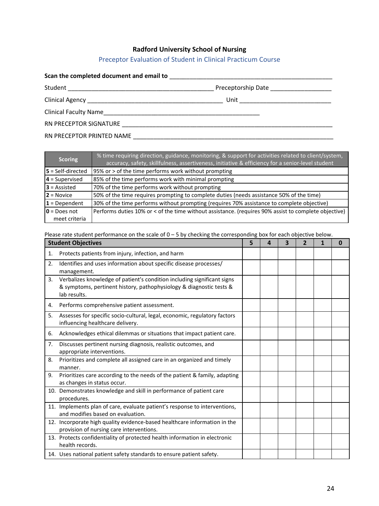# Preceptor Evaluation of Student in Clinical Practicum Course

<span id="page-23-0"></span>

|  | Preceptorship Date ______________________ |  |  |  |
|--|-------------------------------------------|--|--|--|
|  |                                           |  |  |  |
|  |                                           |  |  |  |
|  |                                           |  |  |  |
|  |                                           |  |  |  |

| <b>Scoring</b>          | % time requiring direction, guidance, monitoring, & support for activities related to client/system,<br>accuracy, safety, skillfulness, assertiveness, initiative & efficiency for a senior-level student |
|-------------------------|-----------------------------------------------------------------------------------------------------------------------------------------------------------------------------------------------------------|
| $5$ = Self-directed     | 95% or > of the time performs work without prompting                                                                                                                                                      |
| $4 =$ Supervised        | 85% of the time performs work with minimal prompting                                                                                                                                                      |
| $3$ = Assisted          | 70% of the time performs work without prompting                                                                                                                                                           |
| $2 = Novice$            | 50% of the time requires prompting to complete duties (needs assistance 50% of the time)                                                                                                                  |
| $1 = Dependent$         | 30% of the time performs without prompting (requires 70% assistance to complete objective)                                                                                                                |
| $\mathbf{0}$ = Does not | Performs duties 10% or < of the time without assistance. (requires 90% assist to complete objective)                                                                                                      |
| meet criteria           |                                                                                                                                                                                                           |

Please rate student performance on the scale of 0 – 5 by checking the corresponding box for each objective below.

|    | <b>Student Objectives</b>                                                                                                                                      | 5 | Δ | 3 | $\overline{2}$ | 1 | 0 |
|----|----------------------------------------------------------------------------------------------------------------------------------------------------------------|---|---|---|----------------|---|---|
| 1. | Protects patients from injury, infection, and harm                                                                                                             |   |   |   |                |   |   |
| 2. | Identifies and uses information about specific disease processes/<br>management.                                                                               |   |   |   |                |   |   |
| 3. | Verbalizes knowledge of patient's condition including significant signs<br>& symptoms, pertinent history, pathophysiology & diagnostic tests &<br>lab results. |   |   |   |                |   |   |
| 4. | Performs comprehensive patient assessment.                                                                                                                     |   |   |   |                |   |   |
| 5. | Assesses for specific socio-cultural, legal, economic, regulatory factors<br>influencing healthcare delivery.                                                  |   |   |   |                |   |   |
| 6. | Acknowledges ethical dilemmas or situations that impact patient care.                                                                                          |   |   |   |                |   |   |
| 7. | Discusses pertinent nursing diagnosis, realistic outcomes, and<br>appropriate interventions.                                                                   |   |   |   |                |   |   |
| 8. | Prioritizes and complete all assigned care in an organized and timely<br>manner.                                                                               |   |   |   |                |   |   |
| 9. | Prioritizes care according to the needs of the patient & family, adapting<br>as changes in status occur.                                                       |   |   |   |                |   |   |
|    | 10. Demonstrates knowledge and skill in performance of patient care<br>procedures.                                                                             |   |   |   |                |   |   |
|    | 11. Implements plan of care, evaluate patient's response to interventions,<br>and modifies based on evaluation.                                                |   |   |   |                |   |   |
|    | 12. Incorporate high quality evidence-based healthcare information in the<br>provision of nursing care interventions.                                          |   |   |   |                |   |   |
|    | 13. Protects confidentiality of protected health information in electronic<br>health records.                                                                  |   |   |   |                |   |   |
|    | 14. Uses national patient safety standards to ensure patient safety.                                                                                           |   |   |   |                |   |   |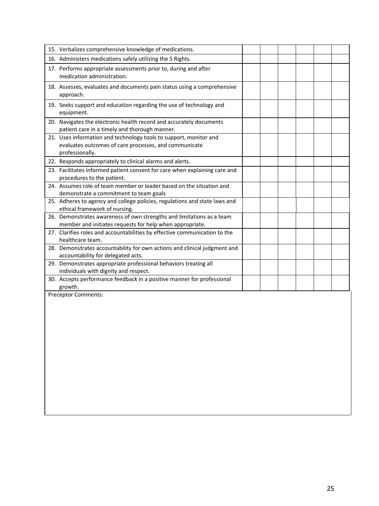| 15. Verbalizes comprehensive knowledge of medications.                                                                                        |  |  |  |
|-----------------------------------------------------------------------------------------------------------------------------------------------|--|--|--|
| 16. Administers medications safely utilizing the 5 Rights.                                                                                    |  |  |  |
| 17. Performs appropriate assessments prior to, during and after<br>medication administration.                                                 |  |  |  |
| 18. Assesses, evaluates and documents pain status using a comprehensive<br>approach.                                                          |  |  |  |
| 19. Seeks support and education regarding the use of technology and<br>equipment.                                                             |  |  |  |
| 20. Navigates the electronic health record and accurately documents<br>patient care in a timely and thorough manner.                          |  |  |  |
| 21. Uses information and technology tools to support, monitor and<br>evaluates outcomes of care processes, and communicate<br>professionally. |  |  |  |
| 22. Responds appropriately to clinical alarms and alerts.                                                                                     |  |  |  |
| 23. Facilitates informed patient consent for care when explaining care and<br>procedures to the patient.                                      |  |  |  |
| 24. Assumes role of team member or leader based on the situation and<br>demonstrate a commitment to team goals                                |  |  |  |
| 25. Adheres to agency and college policies, regulations and state laws and<br>ethical framework of nursing.                                   |  |  |  |
| 26. Demonstrates awareness of own strengths and limitations as a team<br>member and initiates requests for help when appropriate.             |  |  |  |
| 27. Clarifies roles and accountabilities by effective communication to the<br>healthcare team.                                                |  |  |  |
| 28. Demonstrates accountability for own actions and clinical judgment and<br>accountability for delegated acts.                               |  |  |  |
| 29. Demonstrates appropriate professional behaviors treating all<br>individuals with dignity and respect.                                     |  |  |  |
| 30. Accepts performance feedback in a positive manner for professional<br>growth.                                                             |  |  |  |
| Preceptor Comments:                                                                                                                           |  |  |  |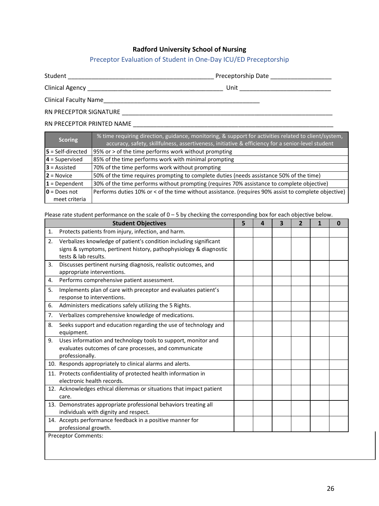#### Preceptor Evaluation of Student in One-Day ICU/ED Preceptorship

<span id="page-25-0"></span>

Student \_\_\_\_\_\_\_\_\_\_\_\_\_\_\_\_\_\_\_\_\_\_\_\_\_\_\_\_\_\_\_\_\_\_\_\_\_\_\_\_\_\_\_ Preceptorship Date \_\_\_\_\_\_\_\_\_\_\_\_\_\_\_\_\_\_

Clinical Agency \_\_\_\_\_\_\_\_\_\_\_\_\_\_\_\_\_\_\_\_\_\_\_\_\_\_\_\_\_\_\_\_\_\_\_\_\_\_\_\_ Unit \_\_\_\_\_\_\_\_\_\_\_\_\_\_\_\_\_\_\_\_\_\_\_\_\_\_\_

Clinical Faculty Name\_\_\_\_\_\_\_\_\_\_\_\_\_\_\_\_\_\_\_\_\_\_\_\_\_\_\_\_\_\_\_\_\_\_\_\_\_\_\_\_\_\_\_\_\_\_

RN PRECEPTOR SIGNATURE **Example 2008** 

#### RN PRECEPTOR PRINTED NAME \_\_\_\_\_\_\_\_\_\_\_\_\_\_\_\_\_\_\_\_\_\_\_\_\_\_\_\_\_\_\_\_\_\_\_\_\_\_\_\_\_\_\_\_\_\_\_\_\_\_\_\_\_\_\_\_\_\_\_

| <b>Scoring</b>           | % time requiring direction, guidance, monitoring, & support for activities related to client/system,<br>accuracy, safety, skillfulness, assertiveness, initiative & efficiency for a senior-level student |
|--------------------------|-----------------------------------------------------------------------------------------------------------------------------------------------------------------------------------------------------------|
| $5 = Self\cdot directed$ | 95% or > of the time performs work without prompting                                                                                                                                                      |
| $4 =$ Supervised         | 85% of the time performs work with minimal prompting                                                                                                                                                      |
| $3$ = Assisted           | 70% of the time performs work without prompting                                                                                                                                                           |
| $2 = Novice$             | 50% of the time requires prompting to complete duties (needs assistance 50% of the time)                                                                                                                  |
| $1$ = Dependent          | 30% of the time performs without prompting (requires 70% assistance to complete objective)                                                                                                                |
| $0 = Does not$           | Performs duties 10% or < of the time without assistance. (requires 90% assist to complete objective)                                                                                                      |
| meet criteria            |                                                                                                                                                                                                           |

Please rate student performance on the scale of 0 – 5 by checking the corresponding box for each objective below.

|    | <b>Student Objectives</b>                                                                                                                                      | 5 | Δ | 3 | 1 | 0 |
|----|----------------------------------------------------------------------------------------------------------------------------------------------------------------|---|---|---|---|---|
| 1. | Protects patients from injury, infection, and harm.                                                                                                            |   |   |   |   |   |
| 2. | Verbalizes knowledge of patient's condition including significant<br>signs & symptoms, pertinent history, pathophysiology & diagnostic<br>tests & lab results. |   |   |   |   |   |
| 3. | Discusses pertinent nursing diagnosis, realistic outcomes, and<br>appropriate interventions.                                                                   |   |   |   |   |   |
| 4. | Performs comprehensive patient assessment.                                                                                                                     |   |   |   |   |   |
| 5. | Implements plan of care with preceptor and evaluates patient's<br>response to interventions.                                                                   |   |   |   |   |   |
| 6. | Administers medications safely utilizing the 5 Rights.                                                                                                         |   |   |   |   |   |
| 7. | Verbalizes comprehensive knowledge of medications.                                                                                                             |   |   |   |   |   |
| 8. | Seeks support and education regarding the use of technology and<br>equipment.                                                                                  |   |   |   |   |   |
| 9. | Uses information and technology tools to support, monitor and<br>evaluates outcomes of care processes, and communicate<br>professionally.                      |   |   |   |   |   |
|    | 10. Responds appropriately to clinical alarms and alerts.                                                                                                      |   |   |   |   |   |
|    | 11. Protects confidentiality of protected health information in<br>electronic health records.                                                                  |   |   |   |   |   |
|    | 12. Acknowledges ethical dilemmas or situations that impact patient<br>care.                                                                                   |   |   |   |   |   |
|    | 13. Demonstrates appropriate professional behaviors treating all<br>individuals with dignity and respect.                                                      |   |   |   |   |   |
|    | 14. Accepts performance feedback in a positive manner for<br>professional growth.                                                                              |   |   |   |   |   |
|    | <b>Preceptor Comments:</b>                                                                                                                                     |   |   |   |   |   |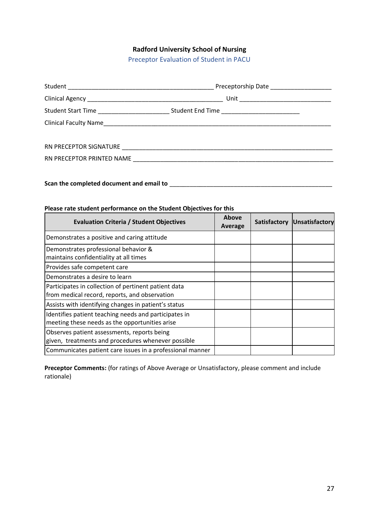Preceptor Evaluation of Student in PACU

<span id="page-26-0"></span>

| Preceptorship Date _____________________                                                            |  |  |
|-----------------------------------------------------------------------------------------------------|--|--|
|                                                                                                     |  |  |
| Student Start Time ______________________________Student End Time _________________________________ |  |  |
|                                                                                                     |  |  |
|                                                                                                     |  |  |
|                                                                                                     |  |  |
|                                                                                                     |  |  |
|                                                                                                     |  |  |
|                                                                                                     |  |  |

# **Scan the completed document and email to** \_\_\_\_\_\_\_\_\_\_\_\_\_\_\_\_\_\_\_\_\_\_\_\_\_\_\_\_\_\_\_\_\_\_\_\_\_\_\_\_\_\_\_\_\_\_\_\_

#### **Please rate student performance on the Student Objectives for this**

| <b>Evaluation Criteria / Student Objectives</b>                                                         | Above<br>Average | <b>Satisfactory</b> | Unsatisfactory |
|---------------------------------------------------------------------------------------------------------|------------------|---------------------|----------------|
| Demonstrates a positive and caring attitude                                                             |                  |                     |                |
| Demonstrates professional behavior &<br>maintains confidentiality at all times                          |                  |                     |                |
| Provides safe competent care                                                                            |                  |                     |                |
| Demonstrates a desire to learn                                                                          |                  |                     |                |
| Participates in collection of pertinent patient data<br>from medical record, reports, and observation   |                  |                     |                |
| Assists with identifying changes in patient's status                                                    |                  |                     |                |
| Identifies patient teaching needs and participates in<br>meeting these needs as the opportunities arise |                  |                     |                |
| Observes patient assessments, reports being<br>given, treatments and procedures whenever possible       |                  |                     |                |
| Communicates patient care issues in a professional manner                                               |                  |                     |                |

**Preceptor Comments:** (for ratings of Above Average or Unsatisfactory, please comment and include rationale)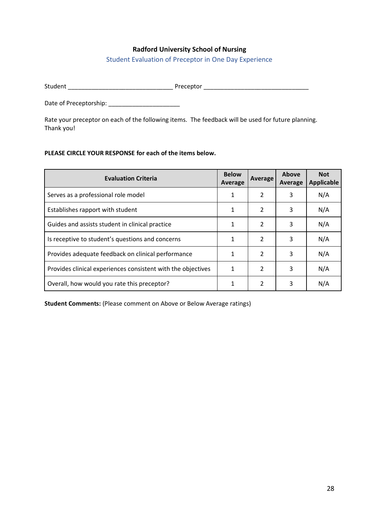Student Evaluation of Preceptor in One Day Experience

<span id="page-27-0"></span>Student \_\_\_\_\_\_\_\_\_\_\_\_\_\_\_\_\_\_\_\_\_\_\_\_\_\_\_\_\_\_\_ Preceptor \_\_\_\_\_\_\_\_\_\_\_\_\_\_\_\_\_\_\_\_\_\_\_\_\_\_\_\_\_\_\_

Date of Preceptorship: \_\_\_\_\_\_\_\_\_\_\_\_\_\_\_\_\_\_\_\_\_

Rate your preceptor on each of the following items. The feedback will be used for future planning. Thank you!

#### **PLEASE CIRCLE YOUR RESPONSE for each of the items below.**

| <b>Evaluation Criteria</b>                                   | <b>Below</b><br>Average | Average        | Above<br>Average | <b>Not</b><br><b>Applicable</b> |
|--------------------------------------------------------------|-------------------------|----------------|------------------|---------------------------------|
| Serves as a professional role model                          | 1                       | 2              | 3                | N/A                             |
| Establishes rapport with student                             | 1                       | 2              | 3                | N/A                             |
| Guides and assists student in clinical practice              | 1                       | $\mathfrak{p}$ | 3                | N/A                             |
| Is receptive to student's questions and concerns             | 1                       | $\mathcal{P}$  | 3                | N/A                             |
| Provides adequate feedback on clinical performance           | 1                       | $\mathfrak{p}$ | 3                | N/A                             |
| Provides clinical experiences consistent with the objectives | 1                       | $\mathfrak{p}$ | 3                | N/A                             |
| Overall, how would you rate this preceptor?                  |                         | $\mathfrak{p}$ | 3                | N/A                             |

**Student Comments:** (Please comment on Above or Below Average ratings)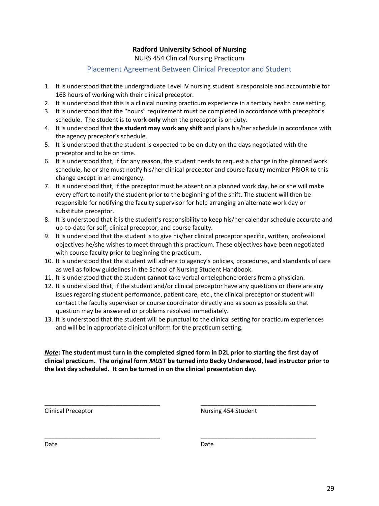#### **Radford University School of Nursing** NURS 454 Clinical Nursing Practicum

# Placement Agreement Between Clinical Preceptor and Student

- <span id="page-28-0"></span>1. It is understood that the undergraduate Level IV nursing student is responsible and accountable for 168 hours of working with their clinical preceptor.
- 2. It is understood that this is a clinical nursing practicum experience in a tertiary health care setting.
- 3. It is understood that the "hours" requirement must be completed in accordance with preceptor's schedule. The student is to work **only** when the preceptor is on duty.
- 4. It is understood that **the student may work any shift** and plans his/her schedule in accordance with the agency preceptor's schedule.
- 5. It is understood that the student is expected to be on duty on the days negotiated with the preceptor and to be on time.
- 6. It is understood that, if for any reason, the student needs to request a change in the planned work schedule, he or she must notify his/her clinical preceptor and course faculty member PRIOR to this change except in an emergency.
- 7. It is understood that, if the preceptor must be absent on a planned work day, he or she will make every effort to notify the student prior to the beginning of the shift. The student will then be responsible for notifying the faculty supervisor for help arranging an alternate work day or substitute preceptor.
- 8. It is understood that it is the student's responsibility to keep his/her calendar schedule accurate and up-to-date for self, clinical preceptor, and course faculty.
- 9. It is understood that the student is to give his/her clinical preceptor specific, written, professional objectives he/she wishes to meet through this practicum. These objectives have been negotiated with course faculty prior to beginning the practicum.
- 10. It is understood that the student will adhere to agency's policies, procedures, and standards of care as well as follow guidelines in the School of Nursing Student Handbook.
- 11. It is understood that the student **cannot** take verbal or telephone orders from a physician.
- 12. It is understood that, if the student and/or clinical preceptor have any questions or there are any issues regarding student performance, patient care, etc., the clinical preceptor or student will contact the faculty supervisor or course coordinator directly and as soon as possible so that question may be answered or problems resolved immediately.
- 13. It is understood that the student will be punctual to the clinical setting for practicum experiences and will be in appropriate clinical uniform for the practicum setting.

*Note***: The student must turn in the completed signed form in D2L prior to starting the first day of clinical practicum. The original form** *MUST* **be turned into Becky Underwood, lead instructor prior to the last day scheduled. It can be turned in on the clinical presentation day.**

\_\_\_\_\_\_\_\_\_\_\_\_\_\_\_\_\_\_\_\_\_\_\_\_\_\_\_\_\_\_\_\_\_\_ \_\_\_\_\_\_\_\_\_\_\_\_\_\_\_\_\_\_\_\_\_\_\_\_\_\_\_\_\_\_\_\_\_\_

\_\_\_\_\_\_\_\_\_\_\_\_\_\_\_\_\_\_\_\_\_\_\_\_\_\_\_\_\_\_\_\_\_\_ \_\_\_\_\_\_\_\_\_\_\_\_\_\_\_\_\_\_\_\_\_\_\_\_\_\_\_\_\_\_\_\_\_\_

Clinical Preceptor Nursing 454 Student

Date **Date** Date **Date** Date **Date**